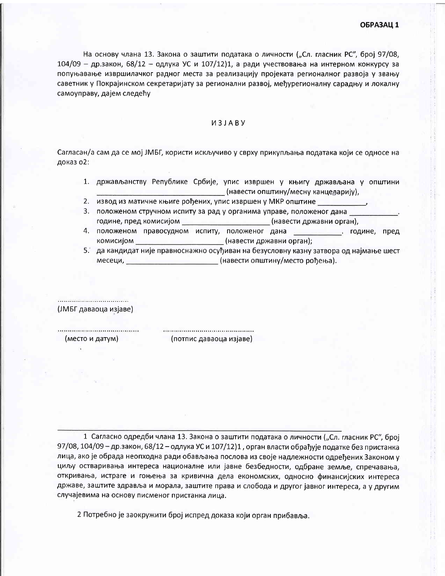На основу члана 13. Закона о заштити података о личности ("Сл. гласник РС", број 97/08,  $104/09$  - др.закон, 68/12 - одлука УС и 107/12)1, а ради учествовања на интерном конкурсу за попуњавање извршилачког радног места за реализацију пројеката регионалног развоја у звању саветник у Покрајинском секретаријату за регионални развој, међурегионалну сарадњу и локалну самоуправу, дајем следећу

## *U3JABY*

Сагласан/а сам да се мој ЈМБГ, користи искључиво у сврху прикупљања података који се односе на доказ о2:

- 1. држављанству Републике Србије, упис извршен у књигу држављана у општини (навести општину/месну канцедарију),
- 2. извод из матичне књиге рођених, упис извршен у МКР општине
- 3. положеном стручном испиту за рад у органима управе, положеног дана године, пред комисијом (навести државни орган),
- 4. положеном правосудном испиту, положеног дана . године, пред комисијом (навести државни орган);
- 5. да кандидат није правноснажно осуђиван на безусловну казну затвора од најмање шест месеци, интерести општину/место рођења).

(ЈМБГ даваоца изјаве)

(место и датум)

(потпис даваоца изјаве)

1 Сагласно одредби члана 13. Закона о заштити података о личности ("Сл. гласник РС", број 97/08, 104/09 - др.закон, 68/12 - одлука УС и 107/12)1, орган власти обрађује податке без пристанка лица, ако је обрада неопходна ради обављања послова из своје надлежности одређених Законом у циљу остваривања интереса националне или јавне безбедности, одбране земље, спречавања, откривања, истраге и гоњења за кривична дела економских, односно финансијских интереса државе, заштите здравља и морала, заштите права и слобода и другог јавног интереса, а у другим случајевима на основу писменог пристанка лица.

2 Потребно је заокружити број испред доказа који орган прибавља.